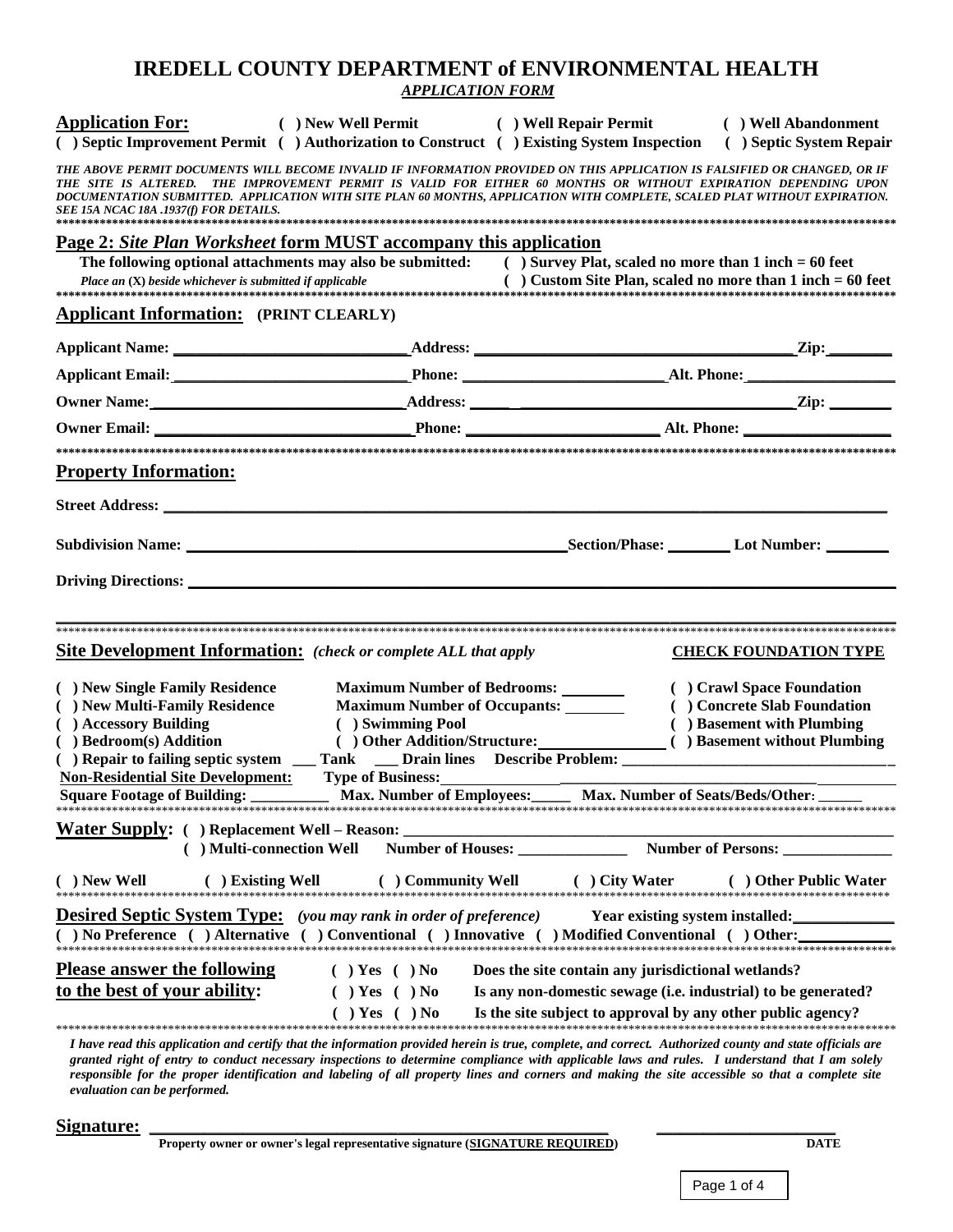## **IREDELL COUNTY DEPARTMENT of ENVIRONMENTAL HEALTH APPLICATION FORM**

|                                                                                                                     |                                     | <b>Application For:</b> ( ) New Well Permit ( ) Well Repair Permit ( ) Well Abandonment<br>() Septic Improvement Permit () Authorization to Construct () Existing System Inspection () Septic System Repair                                                                                                                                                              |                              |
|---------------------------------------------------------------------------------------------------------------------|-------------------------------------|--------------------------------------------------------------------------------------------------------------------------------------------------------------------------------------------------------------------------------------------------------------------------------------------------------------------------------------------------------------------------|------------------------------|
| SEE 15A NCAC 18A .1937(f) FOR DETAILS.                                                                              |                                     | THE ABOVE PERMIT DOCUMENTS WILL BECOME INVALID IF INFORMATION PROVIDED ON THIS APPLICATION IS FALSIFIED OR CHANGED, OR IF<br>THE SITE IS ALTERED. THE IMPROVEMENT PERMIT IS VALID FOR EITHER 60 MONTHS OR WITHOUT EXPIRATION DEPENDING UPON<br>DOCUMENTATION SUBMITTED. APPLICATION WITH SITE PLAN 60 MONTHS, APPLICATION WITH COMPLETE, SCALED PLAT WITHOUT EXPIRATION. |                              |
| <b>Page 2: Site Plan Worksheet form MUST accompany this application</b>                                             |                                     |                                                                                                                                                                                                                                                                                                                                                                          |                              |
|                                                                                                                     |                                     | The following optional attachments may also be submitted: ( ) Survey Plat, scaled no more than 1 inch = 60 feet                                                                                                                                                                                                                                                          |                              |
|                                                                                                                     |                                     |                                                                                                                                                                                                                                                                                                                                                                          |                              |
| <b>Applicant Information:</b> (PRINT CLEARLY)                                                                       |                                     |                                                                                                                                                                                                                                                                                                                                                                          |                              |
|                                                                                                                     |                                     |                                                                                                                                                                                                                                                                                                                                                                          |                              |
|                                                                                                                     |                                     |                                                                                                                                                                                                                                                                                                                                                                          |                              |
|                                                                                                                     |                                     |                                                                                                                                                                                                                                                                                                                                                                          |                              |
|                                                                                                                     |                                     |                                                                                                                                                                                                                                                                                                                                                                          |                              |
|                                                                                                                     |                                     |                                                                                                                                                                                                                                                                                                                                                                          |                              |
| <b>Property Information:</b>                                                                                        |                                     |                                                                                                                                                                                                                                                                                                                                                                          |                              |
|                                                                                                                     |                                     |                                                                                                                                                                                                                                                                                                                                                                          |                              |
|                                                                                                                     |                                     |                                                                                                                                                                                                                                                                                                                                                                          |                              |
|                                                                                                                     |                                     |                                                                                                                                                                                                                                                                                                                                                                          |                              |
|                                                                                                                     |                                     |                                                                                                                                                                                                                                                                                                                                                                          |                              |
|                                                                                                                     |                                     |                                                                                                                                                                                                                                                                                                                                                                          |                              |
|                                                                                                                     |                                     |                                                                                                                                                                                                                                                                                                                                                                          |                              |
| <b>Site Development Information:</b> (check or complete ALL that apply                                              |                                     |                                                                                                                                                                                                                                                                                                                                                                          | <b>CHECK FOUNDATION TYPE</b> |
| ( ) New Single Family Residence                                                                                     | <b>Maximum Number of Bedrooms:</b>  |                                                                                                                                                                                                                                                                                                                                                                          | ( ) Crawl Space Foundation   |
| ( ) New Multi-Family Residence                                                                                      | <b>Maximum Number of Occupants:</b> |                                                                                                                                                                                                                                                                                                                                                                          | ( ) Concrete Slab Foundation |
| ( ) Accessory Building                                                                                              | ( ) Swimming Pool                   |                                                                                                                                                                                                                                                                                                                                                                          | ( ) Basement with Plumbing   |
| ( ) Bedroom(s) Addition                                                                                             |                                     |                                                                                                                                                                                                                                                                                                                                                                          |                              |
|                                                                                                                     |                                     |                                                                                                                                                                                                                                                                                                                                                                          |                              |
|                                                                                                                     |                                     | <b>Non-Residential Site Development:</b> Type of Business: <u>January Max, Number of Seats/Beds/Other: Nax, Number of Seats/Beds/Other: Nax Number of Seats/Beds/Other: Nax Number of Seats/Beds/Other: Nax Number of Seats/Beds/Othe</u>                                                                                                                                |                              |
|                                                                                                                     |                                     |                                                                                                                                                                                                                                                                                                                                                                          |                              |
|                                                                                                                     |                                     |                                                                                                                                                                                                                                                                                                                                                                          |                              |
| ( ) Multi-connection Well                                                                                           |                                     |                                                                                                                                                                                                                                                                                                                                                                          | Number of Persons:           |
| ( ) New Well                                                                                                        |                                     | $\displaystyle \qquad \qquad \quad \  \  (\text{ ) New Well} \qquad \qquad \quad \  \  ( \text{ ) Existing Well} \qquad \qquad \quad \  \  (\text{ ) Community Well} \qquad \qquad \quad \  \  (\text{ ) City Water} \qquad \qquad \quad \  \  ( \text{ ) Other Public W1}$                                                                                              | ( ) Other Public Water       |
| <b>Desired Septic System Type:</b> (you may rank in order of preference)                                            |                                     | <b>Year existing system installed:</b>                                                                                                                                                                                                                                                                                                                                   |                              |
|                                                                                                                     |                                     |                                                                                                                                                                                                                                                                                                                                                                          |                              |
| <b>Please answer the following</b>                                                                                  | $( )$ Yes $( )$ No                  | Does the site contain any jurisdictional wetlands?                                                                                                                                                                                                                                                                                                                       |                              |
| to the best of your ability:<br>$( )$ Yes $( )$ No<br>Is any non-domestic sewage (i.e. industrial) to be generated? |                                     |                                                                                                                                                                                                                                                                                                                                                                          |                              |
|                                                                                                                     | $( )$ Yes $( )$ No                  | Is the site subject to approval by any other public agency?                                                                                                                                                                                                                                                                                                              |                              |
|                                                                                                                     |                                     |                                                                                                                                                                                                                                                                                                                                                                          |                              |

I have read this application and certify that the information provided herein is true, complete, and correct. Authorized county and state officials are granted right of entry to conduct necessary inspections to determine compliance with applicable laws and rules. I understand that I am solely responsible for the proper identification and labeling of all property lines and corners and making the site accessible so that a complete site evaluation can be performed.

Signature:

Property owner or owner's legal representative signature (SIGNATURE REQUIRED)

Page 1 of 4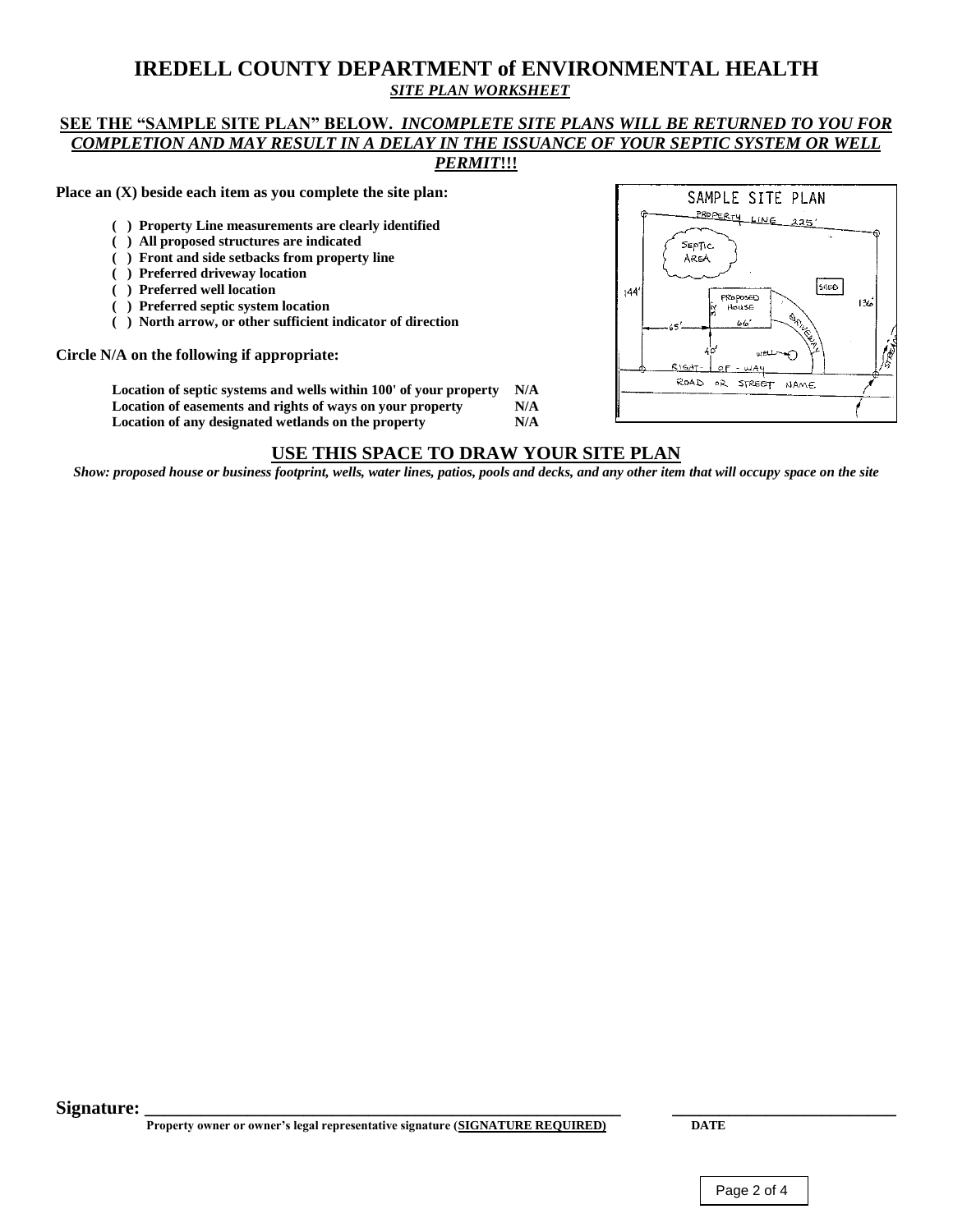## **IREDELL COUNTY DEPARTMENT of ENVIRONMENTAL HEALTH** *SITE PLAN WORKSHEET*

### **SEE THE "SAMPLE SITE PLAN" BELOW.** *INCOMPLETE SITE PLANS WILL BE RETURNED TO YOU FOR COMPLETION AND MAY RESULT IN A DELAY IN THE ISSUANCE OF YOUR SEPTIC SYSTEM OR WELL PERMIT***!!!**

**Place an (X) beside each item as you complete the site plan:**

- **( ) Property Line measurements are clearly identified**
- **( ) All proposed structures are indicated**
- **( ) Front and side setbacks from property line**
- **( ) Preferred driveway location**
- **( ) Preferred well location**
- **( ) Preferred septic system location**
- **( ) North arrow, or other sufficient indicator of direction**

**Circle N/A on the following if appropriate:** 

**Location of septic systems and wells within 100' of your property N/A Location of easements and rights of ways on your property N/A Location of any designated wetlands on the property N/A**



### **USE THIS SPACE TO DRAW YOUR SITE PLAN**

*Show: proposed house or business footprint, wells, water lines, patios, pools and decks, and any other item that will occupy space on the site*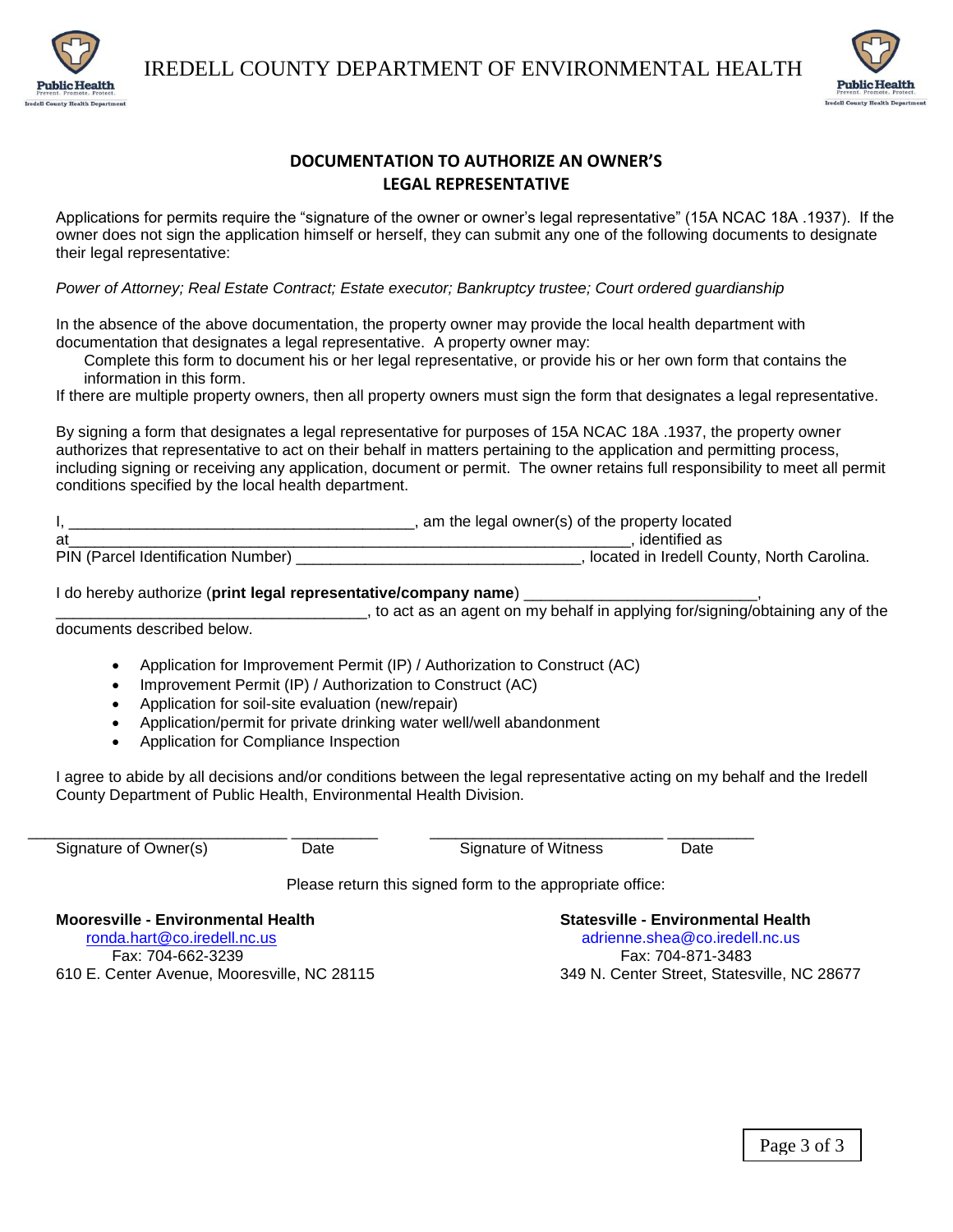IREDELL COUNTY DEPARTMENT OF ENVIRONMENTAL HEALTH



## **DOCUMENTATION TO AUTHORIZE AN OWNER'S LEGAL REPRESENTATIVE**

Applications for permits require the "signature of the owner or owner's legal representative" (15A NCAC 18A .1937). If the owner does not sign the application himself or herself, they can submit any one of the following documents to designate their legal representative:

*Power of Attorney; Real Estate Contract; Estate executor; Bankruptcy trustee; Court ordered guardianship*

In the absence of the above documentation, the property owner may provide the local health department with documentation that designates a legal representative. A property owner may:

Complete this form to document his or her legal representative, or provide his or her own form that contains the information in this form.

If there are multiple property owners, then all property owners must sign the form that designates a legal representative.

By signing a form that designates a legal representative for purposes of 15A NCAC 18A .1937, the property owner authorizes that representative to act on their behalf in matters pertaining to the application and permitting process, including signing or receiving any application, document or permit. The owner retains full responsibility to meet all permit conditions specified by the local health department.

I, \_\_\_\_\_\_\_\_\_\_\_\_\_\_\_\_\_\_\_\_\_\_\_\_\_\_\_\_\_\_\_\_\_\_\_\_\_\_\_\_, am the legal owner(s) of the property located at\_\_\_\_\_\_\_\_\_\_\_\_\_\_\_\_\_\_\_\_\_\_\_\_\_\_\_\_\_\_\_\_\_\_\_\_\_\_\_\_\_\_\_\_\_\_\_\_\_\_\_\_\_\_\_\_\_\_\_\_\_\_\_\_\_, identified as **PIN (Paracel Identification Institute)** Lemannia Dumbers Numbers) and Numbers 2013.

### I do hereby authorize (**print legal representative/company name**) \_\_\_\_\_\_\_\_\_\_\_\_\_\_\_\_\_\_\_\_\_\_\_\_\_\_\_,

\_\_\_\_\_\_\_\_\_\_\_\_\_\_\_\_\_\_\_\_\_\_\_\_\_\_\_\_\_\_\_\_\_\_\_\_, to act as an agent on my behalf in applying for/signing/obtaining any of the documents described below.

Application for Improvement Permit (IP) / Authorization to Construct (AC)

\_\_\_\_\_\_\_\_\_\_\_\_\_\_\_\_\_\_\_\_\_\_\_\_\_\_\_\_\_\_ \_\_\_\_\_\_\_\_\_\_ \_\_\_\_\_\_\_\_\_\_\_\_\_\_\_\_\_\_\_\_\_\_\_\_\_\_\_ \_\_\_\_\_\_\_\_\_\_

- Improvement Permit (IP) / Authorization to Construct (AC)
- Application for soil-site evaluation (new/repair)
- Application/permit for private drinking water well/well abandonment
- Application for Compliance Inspection

I agree to abide by all decisions and/or conditions between the legal representative acting on my behalf and the Iredell County Department of Public Health, Environmental Health Division.

nty Health Department

Signature of Owner(s)  $\qquad \qquad$  Date  $\qquad \qquad$  Signature of Witness  $\qquad \qquad$  Date

Please return this signed form to the appropriate office:

**Mooresville - Environmental Health Statesville - Environmental Health**  [ronda.hart@co.iredell.nc.us](mailto:ronda.hart@co.iredell.nc.us) adrienne.shea@co.iredell.nc.us Fax: 704-662-3239 Fax: 704-871-3483

610 E. Center Avenue, Mooresville, NC 28115 349 N. Center Street, Statesville, NC 28677